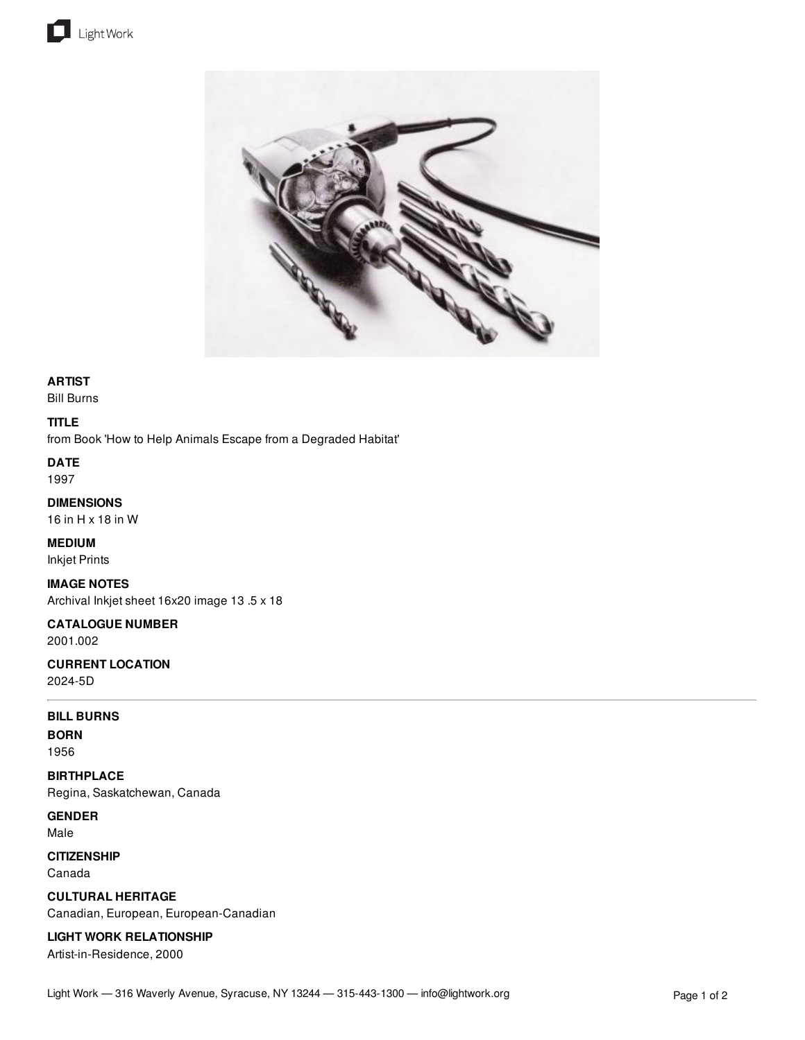



## **ARTIST**

Bill Burns

### **TITLE**

from Book 'How to Help Animals Escape from a Degraded Habitat'

**DATE** 1997

## **DIMENSIONS** 16 in H x 18 in W

# **MEDIUM**

Inkjet Prints

## **IMAGE NOTES**

Archival Inkjet sheet 16x20 image 13 .5 x 18

#### **CATALOGUE NUMBER** 2001.002

**CURRENT LOCATION** 2024-5D

### **BILL BURNS**

**BORN** 1956

**BIRTHPLACE**

Regina, Saskatchewan, Canada

**GENDER** Male

# **CITIZENSHIP**

Canada

**CULTURAL HERITAGE** Canadian, European, European-Canadian

# **LIGHT WORK RELATIONSHIP**